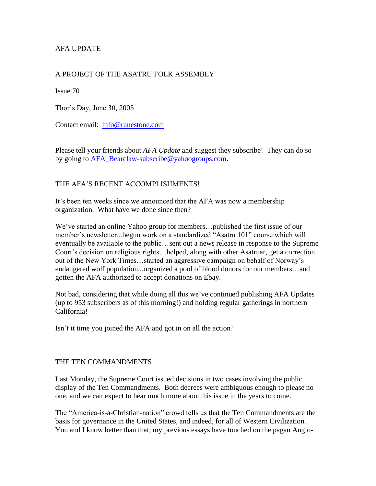# AFA UPDATE

## A PROJECT OF THE ASATRU FOLK ASSEMBLY

Issue 70

Thor's Day, June 30, 2005

Contact email: [info@runestone.com](mailto:info@runestone.com)

Please tell your friends about *AFA Update* and suggest they subscribe! They can do so by going to [AFA\\_Bearclaw-subscribe@yahoogroups.com.](mailto:AFA_Bearclaw-subscribe@yahoogroups.com)

## THE AFA'S RECENT ACCOMPLISHMENTS!

It's been ten weeks since we announced that the AFA was now a membership organization. What have we done since then?

We've started an online Yahoo group for members…published the first issue of our member's newsletter...begun work on a standardized "Asatru 101" course which will eventually be available to the public…sent out a news release in response to the Supreme Court's decision on religious rights…helped, along with other Asatruar, get a correction out of the New York Times…started an aggressive campaign on behalf of Norway's endangered wolf population...organized a pool of blood donors for our members…and gotten the AFA authorized to accept donations on Ebay.

Not bad, considering that while doing all this we've continued publishing AFA Updates (up to 953 subscribers as of this morning!) and holding regular gatherings in northern California!

Isn't it time you joined the AFA and got in on all the action?

#### THE TEN COMMANDMENTS

Last Monday, the Supreme Court issued decisions in two cases involving the public display of the Ten Commandments. Both decrees were ambiguous enough to please no one, and we can expect to hear much more about this issue in the years to come.

The "America-is-a-Christian-nation" crowd tells us that the Ten Commandments are the basis for governance in the United States, and indeed, for all of Western Civilization. You and I know better than that; my previous essays have touched on the pagan Anglo-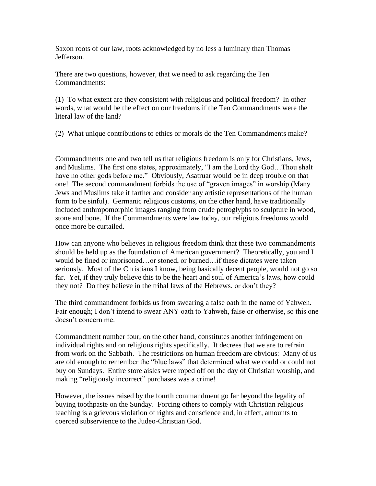Saxon roots of our law, roots acknowledged by no less a luminary than Thomas Jefferson.

There are two questions, however, that we need to ask regarding the Ten Commandments:

(1) To what extent are they consistent with religious and political freedom? In other words, what would be the effect on our freedoms if the Ten Commandments were the literal law of the land?

(2) What unique contributions to ethics or morals do the Ten Commandments make?

Commandments one and two tell us that religious freedom is only for Christians, Jews, and Muslims. The first one states, approximately, "I am the Lord thy God…Thou shalt have no other gods before me." Obviously, Asatruar would be in deep trouble on that one! The second commandment forbids the use of "graven images" in worship (Many Jews and Muslims take it farther and consider any artistic representations of the human form to be sinful). Germanic religious customs, on the other hand, have traditionally included anthropomorphic images ranging from crude petroglyphs to sculpture in wood, stone and bone. If the Commandments were law today, our religious freedoms would once more be curtailed.

How can anyone who believes in religious freedom think that these two commandments should be held up as the foundation of American government? Theoretically, you and I would be fined or imprisoned…or stoned, or burned…if these dictates were taken seriously. Most of the Christians I know, being basically decent people, would not go so far. Yet, if they truly believe this to be the heart and soul of America's laws, how could they not? Do they believe in the tribal laws of the Hebrews, or don't they?

The third commandment forbids us from swearing a false oath in the name of Yahweh. Fair enough; I don't intend to swear ANY oath to Yahweh, false or otherwise, so this one doesn't concern me.

Commandment number four, on the other hand, constitutes another infringement on individual rights and on religious rights specifically. It decrees that we are to refrain from work on the Sabbath. The restrictions on human freedom are obvious: Many of us are old enough to remember the "blue laws" that determined what we could or could not buy on Sundays. Entire store aisles were roped off on the day of Christian worship, and making "religiously incorrect" purchases was a crime!

However, the issues raised by the fourth commandment go far beyond the legality of buying toothpaste on the Sunday. Forcing others to comply with Christian religious teaching is a grievous violation of rights and conscience and, in effect, amounts to coerced subservience to the Judeo-Christian God.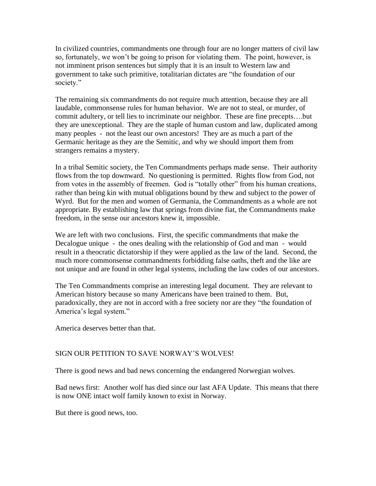In civilized countries, commandments one through four are no longer matters of civil law so, fortunately, we won't be going to prison for violating them. The point, however, is not imminent prison sentences but simply that it is an insult to Western law and government to take such primitive, totalitarian dictates are "the foundation of our society."

The remaining six commandments do not require much attention, because they are all laudable, commonsense rules for human behavior. We are not to steal, or murder, of commit adultery, or tell lies to incriminate our neighbor. These are fine precepts….but they are unexceptional. They are the staple of human custom and law, duplicated among many peoples - not the least our own ancestors! They are as much a part of the Germanic heritage as they are the Semitic, and why we should import them from strangers remains a mystery.

In a tribal Semitic society, the Ten Commandments perhaps made sense. Their authority flows from the top downward. No questioning is permitted. Rights flow from God, not from votes in the assembly of freemen. God is "totally other" from his human creations, rather than being kin with mutual obligations bound by thew and subject to the power of Wyrd. But for the men and women of Germania, the Commandments as a whole are not appropriate. By establishing law that springs from divine fiat, the Commandments make freedom, in the sense our ancestors knew it, impossible.

We are left with two conclusions. First, the specific commandments that make the Decalogue unique - the ones dealing with the relationship of God and man - would result in a theocratic dictatorship if they were applied as the law of the land. Second, the much more commonsense commandments forbidding false oaths, theft and the like are not unique and are found in other legal systems, including the law codes of our ancestors.

The Ten Commandments comprise an interesting legal document. They are relevant to American history because so many Americans have been trained to them. But, paradoxically, they are not in accord with a free society nor are they "the foundation of America's legal system."

America deserves better than that.

#### SIGN OUR PETITION TO SAVE NORWAY'S WOLVES!

There is good news and bad news concerning the endangered Norwegian wolves.

Bad news first: Another wolf has died since our last AFA Update. This means that there is now ONE intact wolf family known to exist in Norway.

But there is good news, too.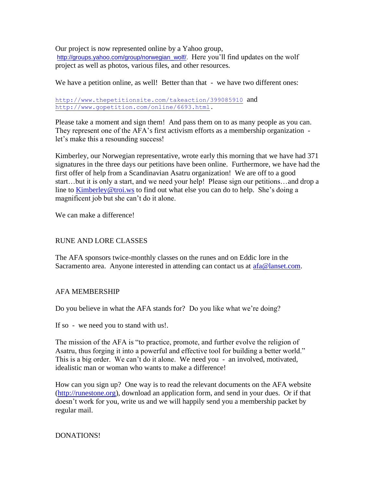Our project is now represented online by a Yahoo group, [http://groups.yahoo.com/group/norwegian\\_wolf/.](http://groups.yahoo.com/group/norwegian_wolf/) Here you'll find updates on the wolf project as well as photos, various files, and other resources.

We have a petition online, as well! Better than that - we have two different ones:

#### <http://www.thepetitionsite.com/takeaction/399085910> and [http://www.gopetition.com/online/6693.html.](http://www.gopetition.com/online/6693.html)

Please take a moment and sign them! And pass them on to as many people as you can. They represent one of the AFA's first activism efforts as a membership organization let's make this a resounding success!

Kimberley, our Norwegian representative, wrote early this morning that we have had 371 signatures in the three days our petitions have been online. Furthermore, we have had the first offer of help from a Scandinavian Asatru organization! We are off to a good start…but it is only a start, and we need your help! Please sign our petitions…and drop a line to [Kimberley@troi.ws](mailto:Kimberley@troi.ws) to find out what else you can do to help. She's doing a magnificent job but she can't do it alone.

We can make a difference!

## RUNE AND LORE CLASSES

The AFA sponsors twice-monthly classes on the runes and on Eddic lore in the Sacramento area. Anyone interested in attending can contact us at  $afa@lanset.com$ .

# AFA MEMBERSHIP

Do you believe in what the AFA stands for? Do you like what we're doing?

If so - we need you to stand with us!.

The mission of the AFA is "to practice, promote, and further evolve the religion of Asatru, thus forging it into a powerful and effective tool for building a better world." This is a big order. We can't do it alone. We need you - an involved, motivated, idealistic man or woman who wants to make a difference!

How can you sign up? One way is to read the relevant documents on the AFA website [\(http://runestone.org\)](http://runestone.org/), download an application form, and send in your dues. Or if that doesn't work for you, write us and we will happily send you a membership packet by regular mail.

# DONATIONS!